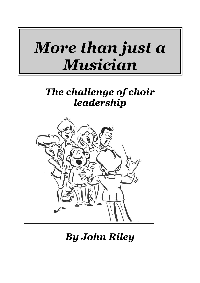# *More than just a Musician*

# *The challenge of choir leadership*



*By John Riley*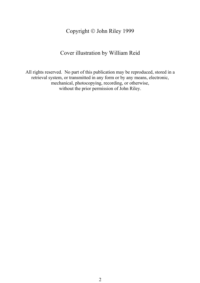Copyright Ó John Riley 1999

#### Cover illustration by William Reid

All rights reserved. No part of this publication may be reproduced, stored in a retrieval system, or transmitted in any form or by any means, electronic, mechanical, photocopying, recording, or otherwise, without the prior permission of John Riley.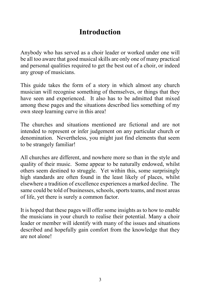# **Introduction**

Anybody who has served as a choir leader or worked under one will be all too aware that good musical skills are only one of many practical and personal qualities required to get the best out of a choir, or indeed any group of musicians.

This guide takes the form of a story in which almost any church musician will recognise something of themselves, or things that they have seen and experienced. It also has to be admitted that mixed among these pages and the situations described lies something of my own steep learning curve in this area!

The churches and situations mentioned are fictional and are not intended to represent or infer judgement on any particular church or denomination. Nevertheless, you might just find elements that seem to be strangely familiar!

All churches are different, and nowhere more so than in the style and quality of their music. Some appear to be naturally endowed, whilst others seem destined to struggle. Yet within this, some surprisingly high standards are often found in the least likely of places, whilst elsewhere a tradition of excellence experiences a marked decline. The same could be told of businesses, schools, sports teams, and most areas of life, yet there is surely a common factor.

It is hoped that these pages will offer some insights as to how to enable the musicians in your church to realise their potential. Many a choir leader or member will identify with many of the issues and situations described and hopefully gain comfort from the knowledge that they are not alone!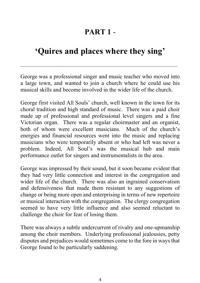# **PART 1** -

# **'Quires and places where they sing'**

George was a professional singer and music teacher who moved into a large town, and wanted to join a church where he could use his musical skills and become involved in the wider life of the church.

George first visited All Souls' church, well known in the town for its choral tradition and high standard of music. There was a paid choir made up of professional and professional level singers and a fine Victorian organ. There was a regular choirmaster and an organist, both of whom were excellent musicians. Much of the church's energies and financial resources went into the music and replacing musicians who were temporarily absent or who had left was never a problem. Indeed, All Soul's was the musical hub and main performance outlet for singers and instrumentalists in the area.

George was impressed by their sound, but it soon became evident that they had very little connection and interest in the congregation and wider life of the church. There was also an ingrained conservatism and defensiveness that made them resistant to any suggestions of change or being more open and enterprising in terms of new repertoire or musical interaction with the congregation. The clergy congregation seemed to have very little influence and also seemed reluctant to challenge the choir for fear of losing them.

There was always a subtle undercurrent of rivalry and one-upmanship among the choir members. Underlying professional jealousies, petty disputes and prejudices would sometimes come to the fore in ways that George found to be particularly saddening.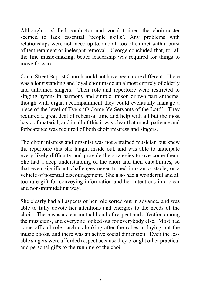Although a skilled conductor and vocal trainer, the choirmaster seemed to lack essential 'people skills'. Any problems with relationships were not faced up to, and all too often met with a burst of temperament or inelegant removal. George concluded that, for all the fine music-making, better leadership was required for things to move forward.

Canal Street Baptist Church could not have been more different. There was a long standing and loyal choir made up almost entirely of elderly and untrained singers. Their role and repertoire were restricted to singing hymns in harmony and simple unison or two part anthems, though with organ accompaniment they could eventually manage a piece of the level of Tye's 'O Come Ye Servants of the Lord'. They required a great deal of rehearsal time and help with all but the most basic of material, and in all of this it was clear that much patience and forbearance was required of both choir mistress and singers.

The choir mistress and organist was not a trained musician but knew the repertoire that she taught inside out, and was able to anticipate every likely difficulty and provide the strategies to overcome them. She had a deep understanding of the choir and their capabilities, so that even significant challenges never turned into an obstacle, or a vehicle of potential discouragement. She also had a wonderful and all too rare gift for conveying information and her intentions in a clear and non-intimidating way.

She clearly had all aspects of her role sorted out in advance, and was able to fully devote her attentions and energies to the needs of the choir. There was a clear mutual bond of respect and affection among the musicians, and everyone looked out for everybody else. Most had some official role, such as looking after the robes or laying out the music books, and there was an active social dimension. Even the less able singers were afforded respect because they brought other practical and personal gifts to the running of the choir.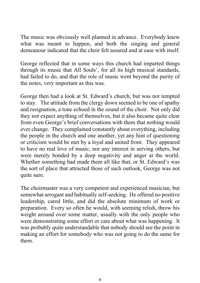The music was obviously well planned in advance. Everybody knew what was meant to happen, and both the singing and general demeanour indicated that the choir felt assured and at ease with itself.

George reflected that in some ways this church had imparted things through its music that All Souls', for all its high musical standards, had failed to do, and that the role of music went beyond the purity of the notes, very important as this was.

George then had a look at St. Edward's church, but was not tempted to stay. The attitude from the clergy down seemed to be one of apathy and resignation, a tone echoed in the sound of the choir. Not only did they not expect anything of themselves, but it also became quite clear from even George's brief conversations with them that nothing would ever change. They complained constantly about everything, including the people in the church and one another, yet any hint of questioning or criticism would be met by a loyal and united front. They appeared to have no real love of music, nor any interest in serving others, but were merely bonded by a deep negativity and anger at the world. Whether something had made them all like that, or St. Edward's was the sort of place that attracted those of such outlook, George was not quite sure.

The choirmaster was a very competent and experienced musician, but somewhat arrogant and habitually self-seeking. He offered no positive leadership, cared little, and did the absolute minimum of work or preparation. Every so often he would, with seeming relish, throw his weight around over some matter, usually with the only people who were demonstrating some effort or care about what was happening. It was probably quite understandable that nobody should see the point in making an effort for somebody who was not going to do the same for them.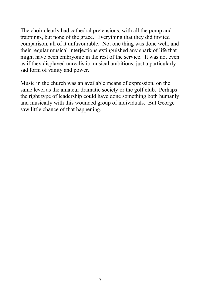The choir clearly had cathedral pretensions, with all the pomp and trappings, but none of the grace. Everything that they did invited comparison, all of it unfavourable. Not one thing was done well, and their regular musical interjections extinguished any spark of life that might have been embryonic in the rest of the service. It was not even as if they displayed unrealistic musical ambitions, just a particularly sad form of vanity and power.

Music in the church was an available means of expression, on the same level as the amateur dramatic society or the golf club. Perhaps the right type of leadership could have done something both humanly and musically with this wounded group of individuals. But George saw little chance of that happening.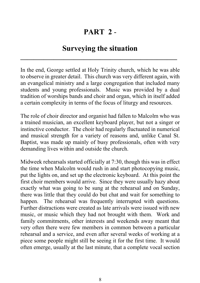# **PART 2** -

## **Surveying the situation \_\_\_\_\_\_\_\_\_\_\_\_\_\_\_\_\_\_\_\_\_\_\_\_\_\_\_\_\_\_\_\_\_\_\_\_\_\_\_\_\_\_\_\_\_\_\_**

In the end, George settled at Holy Trinity church, which he was able to observe in greater detail. This church was very different again, with an evangelical ministry and a large congregation that included many students and young professionals. Music was provided by a dual tradition of worships bands and choir and organ, which in itself added a certain complexity in terms of the focus of liturgy and resources.

The role of choir director and organist had fallen to Malcolm who was a trained musician, an excellent keyboard player, but not a singer or instinctive conductor. The choir had regularly fluctuated in numerical and musical strength for a variety of reasons and, unlike Canal St. Baptist, was made up mainly of busy professionals, often with very demanding lives within and outside the church.

Midweek rehearsals started officially at 7:30, though this was in effect the time when Malcolm would rush in and start photocopying music, put the lights on, and set up the electronic keyboard. At this point the first choir members would arrive. Since they were usually hazy about exactly what was going to be sung at the rehearsal and on Sunday, there was little that they could do but chat and wait for something to happen. The rehearsal was frequently interrupted with questions. Further distractions were created as late arrivals were issued with new music, or music which they had not brought with them. Work and family commitments, other interests and weekends away meant that very often there were few members in common between a particular rehearsal and a service, and even after several weeks of working at a piece some people might still be seeing it for the first time. It would often emerge, usually at the last minute, that a complete vocal section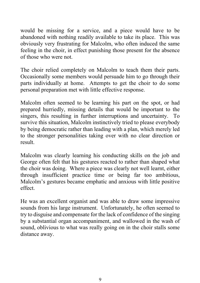would be missing for a service, and a piece would have to be abandoned with nothing readily available to take its place. This was obviously very frustrating for Malcolm, who often induced the same feeling in the choir, in effect punishing those present for the absence of those who were not.

The choir relied completely on Malcolm to teach them their parts. Occasionally some members would persuade him to go through their parts individually at home. Attempts to get the choir to do some personal preparation met with little effective response.

Malcolm often seemed to be learning his part on the spot, or had prepared hurriedly, missing details that would be important to the singers, this resulting in further interruptions and uncertainty. To survive this situation, Malcolm instinctively tried to please everybody by being democratic rather than leading with a plan, which merely led to the stronger personalities taking over with no clear direction or result.

Malcolm was clearly learning his conducting skills on the job and George often felt that his gestures reacted to rather than shaped what the choir was doing. Where a piece was clearly not well learnt, either through insufficient practice time or being far too ambitious, Malcolm's gestures became emphatic and anxious with little positive effect.

He was an excellent organist and was able to draw some impressive sounds from his large instrument. Unfortunately, he often seemed to try to disguise and compensate for the lack of confidence of the singing by a substantial organ accompaniment, and wallowed in the wash of sound, oblivious to what was really going on in the choir stalls some distance away.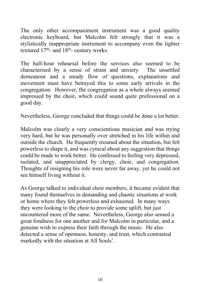The only other accompaniment instrument was a good quality electronic keyboard, but Malcolm felt strongly that it was a stylistically inappropriate instrument to accompany even the lighter textured  $17<sup>th</sup>$ - and  $18<sup>th</sup>$ - century works.

The half-hour rehearsal before the services also seemed to be characterised by a sense of strain and anxiety. The unsettled demeanour and a steady flow of questions, explanations and movement must have betrayed this to some early arrivals in the congregation. However, the congregation as a whole always seemed impressed by the choir, which could sound quite professional on a good day.

Nevertheless, George concluded that things could be done a lot better.

Malcolm was clearly a very conscientious musician and was trying very hard, but he was personally over stretched in his life within and outside the church. He frequently moaned about the situation, but felt powerless to shape it, and was cynical about any suggestion that things could be made to work better. He confessed to feeling very depressed, isolated, and unappreciated by clergy, choir, and congregation. Thoughts of resigning his role were never far away, yet he could not see himself living without it.

As George talked to individual choir members, it became evident that many found themselves in demanding and chaotic situations at work or home where they felt powerless and exhausted. In many ways they were looking to the choir to provide some uplift, but just encountered more of the same. Nevertheless, George also sensed a great fondness for one another and for Malcolm in particular, and a genuine wish to express their faith through the music. He also detected a sense of openness, honesty, and trust, which contrasted markedly with the situation at All Souls'.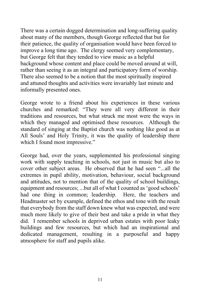There was a certain dogged determination and long-suffering quality about many of the members, though George reflected that but for their patience, the quality of organisation would have been forced to improve a long time ago. The clergy seemed very complementary, but George felt that they tended to view music as a helpful background whose content and place could be moved around at will, rather than seeing it as an integral and participatory form of worship. There also seemed to be a notion that the most spiritually inspired and attuned thoughts and activities were invariably last minute and informally presented ones.

George wrote to a friend about his experiences in these various churches and remarked: "They were all very different in their traditions and resources, but what struck me most were the ways in which they managed and optimised these resources. Although the standard of singing at the Baptist church was nothing like good as at All Souls' and Holy Trinity, it was the quality of leadership there which I found most impressive."

George had, over the years, supplemented his professional singing work with supply teaching in schools, not just in music but also to cover other subject areas. He observed that he had seen "...all the extremes in pupil ability, motivation, behaviour, social background and attitudes, not to mention that of the quality of school buildings, equipment and resources; ...but all of what I counted as 'good schools' had one thing in common; leadership. Here, the teachers and Headmaster set by example, defined the ethos and tone with the result that everybody from the staff down knew what was expected, and were much more likely to give of their best and take a pride in what they did. I remember schools in deprived urban estates with poor leaky buildings and few resources, but which had an inspirational and dedicated management, resulting in a purposeful and happy atmosphere for staff and pupils alike.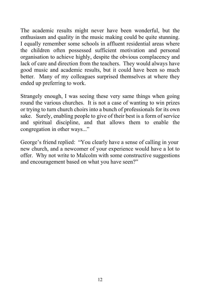The academic results might never have been wonderful, but the enthusiasm and quality in the music making could be quite stunning. I equally remember some schools in affluent residential areas where the children often possessed sufficient motivation and personal organisation to achieve highly, despite the obvious complacency and lack of care and direction from the teachers. They would always have good music and academic results, but it could have been so much better. Many of my colleagues surprised themselves at where they ended up preferring to work.

Strangely enough, I was seeing these very same things when going round the various churches. It is not a case of wanting to win prizes or trying to turn church choirs into a bunch of professionals for its own sake. Surely, enabling people to give of their best is a form of service and spiritual discipline, and that allows them to enable the congregation in other ways..."

George's friend replied: "You clearly have a sense of calling in your new church, and a newcomer of your experience would have a lot to offer. Why not write to Malcolm with some constructive suggestions and encouragement based on what you have seen?"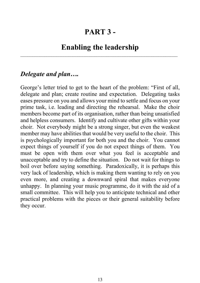# **PART 3 -**

#### **Enabling the leadership** \_\_\_\_\_\_\_\_\_\_\_\_\_\_\_\_\_\_\_\_\_\_\_\_\_\_\_\_\_\_\_\_\_\_\_\_\_\_\_\_\_\_\_\_\_\_\_\_\_\_\_\_\_\_\_\_\_\_\_\_\_\_\_\_\_\_

#### *Delegate and plan….*

George's letter tried to get to the heart of the problem: "First of all, delegate and plan; create routine and expectation. Delegating tasks eases pressure on you and allows your mind to settle and focus on your prime task, i.e. leading and directing the rehearsal. Make the choir members become part of its organisation, rather than being unsatisfied and helpless consumers. Identify and cultivate other gifts within your choir. Not everybody might be a strong singer, but even the weakest member may have abilities that would be very useful to the choir. This is psychologically important for both you and the choir. You cannot expect things of yourself if you do not expect things of them. You must be open with them over what you feel is acceptable and unacceptable and try to define the situation. Do not wait for things to boil over before saying something. Paradoxically, it is perhaps this very lack of leadership, which is making them wanting to rely on you even more, and creating a downward spiral that makes everyone unhappy. In planning your music programme, do it with the aid of a small committee. This will help you to anticipate technical and other practical problems with the pieces or their general suitability before they occur.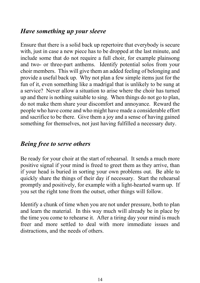#### *Have something up your sleeve*

Ensure that there is a solid back up repertoire that everybody is secure with, just in case a new piece has to be dropped at the last minute, and include some that do not require a full choir, for example plainsong and two- or three-part anthems. Identify potential solos from your choir members. This will give them an added feeling of belonging and provide a useful back up. Why not plan a few simple items just for the fun of it, even something like a madrigal that is unlikely to be sung at a service? Never allow a situation to arise where the choir has turned up and there is nothing suitable to sing. When things do not go to plan, do not make them share your discomfort and annoyance. Reward the people who have come and who might have made a considerable effort and sacrifice to be there. Give them a joy and a sense of having gained something for themselves, not just having fulfilled a necessary duty.

#### *Being free to serve others*

Be ready for your choir at the start of rehearsal. It sends a much more positive signal if your mind is freed to greet them as they arrive, than if your head is buried in sorting your own problems out. Be able to quickly share the things of their day if necessary. Start the rehearsal promptly and positively, for example with a light-hearted warm up. If you set the right tone from the outset, other things will follow.

Identify a chunk of time when you are not under pressure, both to plan and learn the material. In this way much will already be in place by the time you come to rehearse it. After a tiring day your mind is much freer and more settled to deal with more immediate issues and distractions, and the needs of others.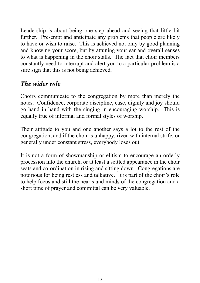Leadership is about being one step ahead and seeing that little bit further. Pre-empt and anticipate any problems that people are likely to have or wish to raise. This is achieved not only by good planning and knowing your score, but by attuning your ear and overall senses to what is happening in the choir stalls. The fact that choir members constantly need to interrupt and alert you to a particular problem is a sure sign that this is not being achieved.

# *The wider role*

Choirs communicate to the congregation by more than merely the notes. Confidence, corporate discipline, ease, dignity and joy should go hand in hand with the singing in encouraging worship. This is equally true of informal and formal styles of worship.

Their attitude to you and one another says a lot to the rest of the congregation, and if the choir is unhappy, riven with internal strife, or generally under constant stress, everybody loses out.

It is not a form of showmanship or elitism to encourage an orderly procession into the church, or at least a settled appearance in the choir seats and co-ordination in rising and sitting down. Congregations are notorious for being restless and talkative. It is part of the choir's role to help focus and still the hearts and minds of the congregation and a short time of prayer and committal can be very valuable.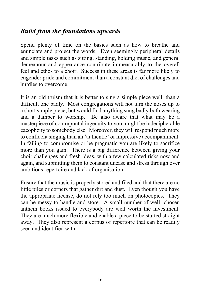## *Build from the foundations upwards*

Spend plenty of time on the basics such as how to breathe and enunciate and project the words. Even seemingly peripheral details and simple tasks such as sitting, standing, holding music, and general demeanour and appearance contribute immeasurably to the overall feel and ethos to a choir. Success in these areas is far more likely to engender pride and commitment than a constant diet of challenges and hurdles to overcome.

It is an old truism that it is better to sing a simple piece well, than a difficult one badly. Most congregations will not turn the noses up to a short simple piece, but would find anything sung badly both wearing and a damper to worship. Be also aware that what may be a masterpiece of contrapuntal ingenuity to you, might be indecipherable cacophony to somebody else. Moreover, they will respond much more to confident singing than an 'authentic' or impressive accompaniment. In failing to compromise or be pragmatic you are likely to sacrifice more than you gain. There is a big difference between giving your choir challenges and fresh ideas, with a few calculated risks now and again, and submitting them to constant unease and stress through over ambitious repertoire and lack of organisation.

Ensure that the music is properly stored and filed and that there are no little piles or corners that gather dirt and dust. Even though you have the appropriate license, do not rely too much on photocopies. They can be messy to handle and store. A small number of well- chosen anthem books issued to everybody are well worth the investment. They are much more flexible and enable a piece to be started straight away. They also represent a corpus of repertoire that can be readily seen and identified with.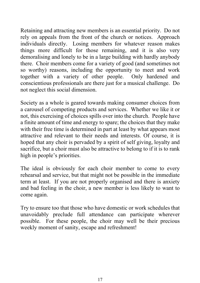Retaining and attracting new members is an essential priority. Do not rely on appeals from the front of the church or notices. Approach individuals directly. Losing members for whatever reason makes things more difficult for those remaining, and it is also very demoralising and lonely to be in a large building with hardly anybody there. Choir members come for a variety of good (and sometimes not so worthy) reasons, including the opportunity to meet and work together with a variety of other people. Only hardened and conscientious professionals are there just for a musical challenge. Do not neglect this social dimension.

Society as a whole is geared towards making consumer choices from a carousel of competing products and services. Whether we like it or not, this exercising of choices spills over into the church. People have a finite amount of time and energy to spare; the choices that they make with their free time is determined in part at least by what appears most attractive and relevant to their needs and interests. Of course, it is hoped that any choir is pervaded by a spirit of self giving, loyalty and sacrifice, but a choir must also be attractive to belong to if it is to rank high in people's priorities.

The ideal is obviously for each choir member to come to every rehearsal and service, but that might not be possible in the immediate term at least. If you are not properly organised and there is anxiety and bad feeling in the choir, a new member is less likely to want to come again.

Try to ensure too that those who have domestic or work schedules that unavoidably preclude full attendance can participate wherever possible. For these people, the choir may well be their precious weekly moment of sanity, escape and refreshment!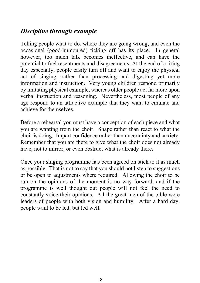# *Discipline through example*

Telling people what to do, where they are going wrong, and even the occasional (good-humoured) ticking off has its place. In general however, too much talk becomes ineffective, and can have the potential to fuel resentments and disagreements. At the end of a tiring day especially, people easily turn off and want to enjoy the physical act of singing, rather than processing and digesting yet more information and instruction. Very young children respond primarily by imitating physical example, whereas older people act far more upon verbal instruction and reasoning. Nevertheless, most people of any age respond to an attractive example that they want to emulate and achieve for themselves.

Before a rehearsal you must have a conception of each piece and what you are wanting from the choir. Shape rather than react to what the choir is doing. Impart confidence rather than uncertainty and anxiety. Remember that you are there to give what the choir does not already have, not to mirror, or even obstruct what is already there.

Once your singing programme has been agreed on stick to it as much as possible. That is not to say that you should not listen to suggestions or be open to adjustments where required. Allowing the choir to be run on the opinions of the moment is no way forward, and if the programme is well thought out people will not feel the need to constantly voice their opinions. All the great men of the bible were leaders of people with both vision and humility. After a hard day, people want to be led, but led well.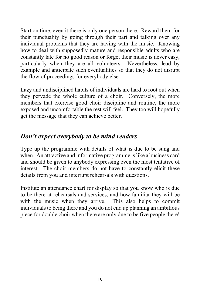Start on time, even it there is only one person there. Reward them for their punctuality by going through their part and talking over any individual problems that they are having with the music. Knowing how to deal with supposedly mature and responsible adults who are constantly late for no good reason or forget their music is never easy, particularly when they are all volunteers. Nevertheless, lead by example and anticipate such eventualities so that they do not disrupt the flow of proceedings for everybody else.

Lazy and undisciplined habits of individuals are hard to root out when they pervade the whole culture of a choir. Conversely, the more members that exercise good choir discipline and routine, the more exposed and uncomfortable the rest will feel. They too will hopefully get the message that they can achieve better.

## *Don't expect everybody to be mind readers*

Type up the programme with details of what is due to be sung and when. An attractive and informative programme is like a business card and should be given to anybody expressing even the most tentative of interest. The choir members do not have to constantly elicit these details from you and interrupt rehearsals with questions.

Institute an attendance chart for display so that you know who is due to be there at rehearsals and services, and how familiar they will be with the music when they arrive. This also helps to commit individuals to being there and you do not end up planning an ambitious piece for double choir when there are only due to be five people there!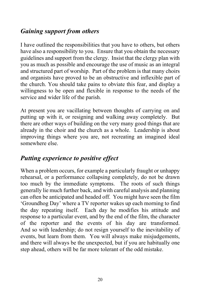# *Gaining support from others*

I have outlined the responsibilities that you have to others, but others have also a responsibility to you. Ensure that you obtain the necessary guidelines and support from the clergy. Insist that the clergy plan with you as much as possible and encourage the use of music as an integral and structured part of worship. Part of the problem is that many choirs and organists have proved to be an obstructive and inflexible part of the church. You should take pains to obviate this fear, and display a willingness to be open and flexible in response to the needs of the service and wider life of the parish.

At present you are vacillating between thoughts of carrying on and putting up with it, or resigning and walking away completely. But there are other ways of building on the very many good things that are already in the choir and the church as a whole. Leadership is about improving things where you are, not recreating an imagined ideal somewhere else.

## *Putting experience to positive effect*

When a problem occurs, for example a particularly fraught or unhappy rehearsal, or a performance collapsing completely, do not be drawn too much by the immediate symptoms. The roots of such things generally lie much further back, and with careful analysis and planning can often be anticipated and headed off. You might have seen the film 'Groundhog Day' where a TV reporter wakes up each morning to find the day repeating itself. Each day he modifies his attitude and response to a particular event, and by the end of the film, the character of the reporter and the events of his day are transformed. And so with leadership; do not resign yourself to the inevitability of events, but learn from them. You will always make misjudgements, and there will always be the unexpected, but if you are habitually one step ahead, others will be far more tolerant of the odd mistake.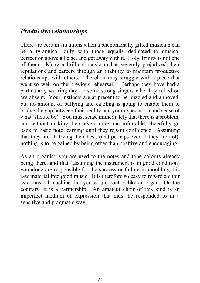### *Productive relationships*

There are certain situations when a phenomenally gifted musician can be a tyrannical bully with those equally dedicated to musical perfection above all else, and get away with it. Holy Trinity is not one of them. Many a brilliant musician has severely prejudiced their reputations and careers through an inability to maintain productive relationships with others. The choir may struggle with a piece that went so well on the previous rehearsal. Perhaps they have had a particularly wearing day, or some strong singers who they relied on are absent. Your instincts are at present to be puzzled and annoyed, but no amount of bullying and cajoling is going to enable them to bridge the gap between their reality and your expectation and sense of what 'should be'. You must sense immediately that there is a problem, and without making them even more uncomfortable, cheerfully go back to basic note learning until they regain confidence. Assuming that they are all trying their best, (and perhaps even if they are not), nothing is to be gained by being other than positive and encouraging.

As an organist, you are used to the notes and tone colours already being there, and that (assuming the instrument is in good condition) you alone are responsible for the success or failure in moulding this raw material into good music. It is therefore so easy to regard a choir as a musical machine that you would control like an organ. On the contrary, it is a partnership. An amateur choir of this kind is an imperfect medium of expression that must be responded to in a sensitive and pragmatic way.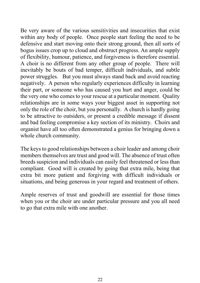Be very aware of the various sensitivities and insecurities that exist within any body of people. Once people start feeling the need to be defensive and start moving onto their strong ground, then all sorts of bogus issues crop up to cloud and obstruct progress. An ample supply of flexibility, humour, patience, and forgiveness is therefore essential. A choir is no different from any other group of people. There will inevitably be bouts of bad temper, difficult individuals, and subtle power struggles. But you must always stand back and avoid reacting negatively. A person who regularly experiences difficulty in learning their part, or someone who has caused you hurt and anger, could be the very one who comes to your rescue at a particular moment. Quality relationships are in some ways your biggest asset in supporting not only the role of the choir, but you personally. A church is hardly going to be attractive to outsiders, or present a credible message if dissent and bad feeling compromise a key section of its ministry. Choirs and organist have all too often demonstrated a genius for bringing down a whole church community.

The keys to good relationships between a choir leader and among choir members themselves are trust and good will. The absence of trust often breeds suspicion and individuals can easily feel threatened or less than compliant. Good will is created by going that extra mile, being that extra bit more patient and forgiving with difficult individuals or situations, and being generous in your regard and treatment of others.

Ample reserves of trust and goodwill are essential for those times when you or the choir are under particular pressure and you all need to go that extra mile with one another.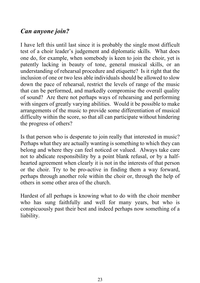## *Can anyone join?*

I have left this until last since it is probably the single most difficult test of a choir leader's judgement and diplomatic skills. What does one do, for example, when somebody is keen to join the choir, yet is patently lacking in beauty of tone, general musical skills, or an understanding of rehearsal procedure and etiquette? Is it right that the inclusion of one or two less able individuals should be allowed to slow down the pace of rehearsal, restrict the levels of range of the music that can be performed, and markedly compromise the overall quality of sound? Are there not perhaps ways of rehearsing and performing with singers of greatly varying abilities. Would it be possible to make arrangements of the music to provide some differentiation of musical difficulty within the score, so that all can participate without hindering the progress of others?

Is that person who is desperate to join really that interested in music? Perhaps what they are actually wanting is something to which they can belong and where they can feel noticed or valued. Always take care not to abdicate responsibility by a point blank refusal, or by a halfhearted agreement when clearly it is not in the interests of that person or the choir. Try to be pro-active in finding them a way forward, perhaps through another role within the choir or, through the help of others in some other area of the church.

Hardest of all perhaps is knowing what to do with the choir member who has sung faithfully and well for many years, but who is conspicuously past their best and indeed perhaps now something of a liability.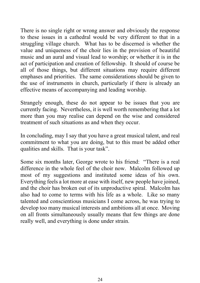There is no single right or wrong answer and obviously the response to these issues in a cathedral would be very different to that in a struggling village church. What has to be discerned is whether the value and uniqueness of the choir lies in the provision of beautiful music and an aural and visual lead to worship; or whether it is in the act of participation and creation of fellowship. It should of course be all of those things, but different situations may require different emphases and priorities. The same considerations should be given to the use of instruments in church, particularly if there is already an effective means of accompanying and leading worship.

Strangely enough, these do not appear to be issues that you are currently facing. Nevertheless, it is well worth remembering that a lot more than you may realise can depend on the wise and considered treatment of such situations as and when they occur.

In concluding, may I say that you have a great musical talent, and real commitment to what you are doing, but to this must be added other qualities and skills. That is your task".

Some six months later, George wrote to his friend: "There is a real difference in the whole feel of the choir now. Malcolm followed up most of my suggestions and instituted some ideas of his own. Everything feels a lot more at ease with itself, new people have joined, and the choir has broken out of its unproductive spiral. Malcolm has also had to come to terms with his life as a whole. Like so many talented and conscientious musicians I come across, he was trying to develop too many musical interests and ambitions all at once. Moving on all fronts simultaneously usually means that few things are done really well, and everything is done under strain.